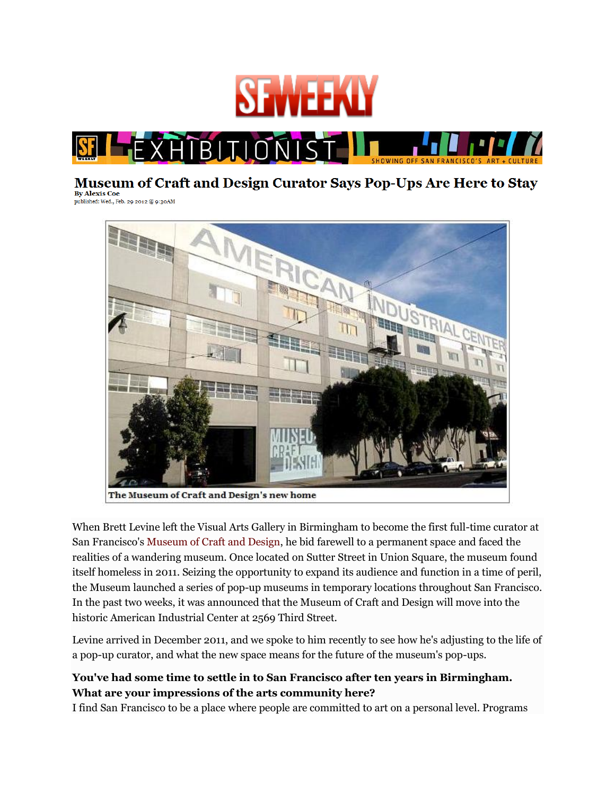



#### **Museum of Craft and Design Curator Says Pop-Ups Are Here to Stay By Alexis Coe**

published: Wed., Feb. 29 2012 @ 9:30AM



When Brett Levine left the Visual Arts Gallery in Birmingham to become the first full-time curator at San Francisco's [Museum of Craft and Design,](http://www.sfmcd.com/) he bid farewell to a permanent space and faced the realities of a wandering museum. Once located on Sutter Street in Union Square, the museum found itself homeless in 2011. Seizing the opportunity to expand its audience and function in a time of peril, the Museum launched a series of pop-up museums in temporary locations throughout San Francisco. In the past two weeks, it was announced that the Museum of Craft and Design will move into the historic American Industrial Center at 2569 Third Street.

Levine arrived in December 2011, and we spoke to him recently to see how he's adjusting to the life of a pop-up curator, and what the new space means for the future of the museum's pop-ups.

## **You've had some time to settle in to San Francisco after ten years in Birmingham. What are your impressions of the arts community here?**

I find San Francisco to be a place where people are committed to art on a personal level. Programs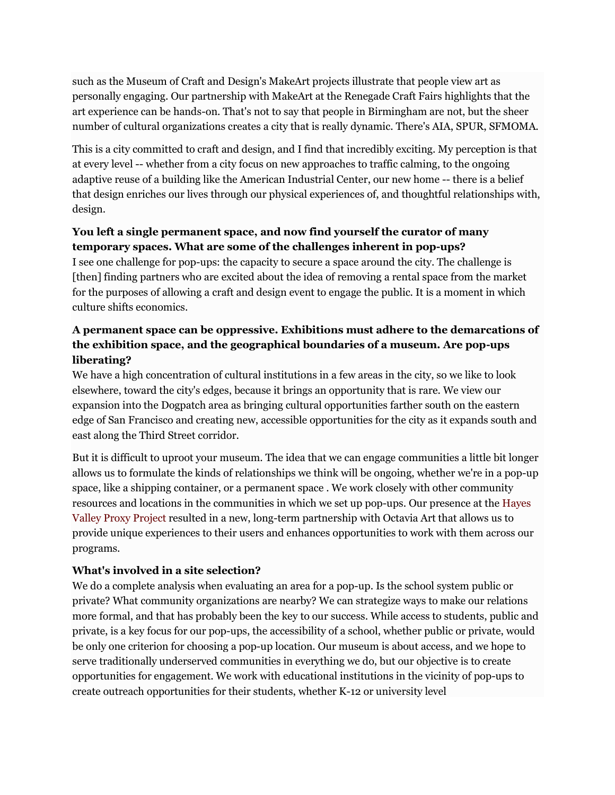such as the Museum of Craft and Design's MakeArt projects illustrate that people view art as personally engaging. Our partnership with MakeArt at the Renegade Craft Fairs highlights that the art experience can be hands-on. That's not to say that people in Birmingham are not, but the sheer number of cultural organizations creates a city that is really dynamic. There's AIA, SPUR, SFMOMA.

This is a city committed to craft and design, and I find that incredibly exciting. My perception is that at every level -- whether from a city focus on new approaches to traffic calming, to the ongoing adaptive reuse of a building like the American Industrial Center, our new home -- there is a belief that design enriches our lives through our physical experiences of, and thoughtful relationships with, design.

## **You left a single permanent space, and now find yourself the curator of many temporary spaces. What are some of the challenges inherent in pop-ups?**

I see one challenge for pop-ups: the capacity to secure a space around the city. The challenge is [then] finding partners who are excited about the idea of removing a rental space from the market for the purposes of allowing a craft and design event to engage the public. It is a moment in which culture shifts economics.

# **A permanent space can be oppressive. Exhibitions must adhere to the demarcations of the exhibition space, and the geographical boundaries of a museum. Are pop-ups liberating?**

We have a high concentration of cultural institutions in a few areas in the city, so we like to look elsewhere, toward the city's edges, because it brings an opportunity that is rare. We view our expansion into the Dogpatch area as bringing cultural opportunities farther south on the eastern edge of San Francisco and creating new, accessible opportunities for the city as it expands south and east along the Third Street corridor.

But it is difficult to uproot your museum. The idea that we can engage communities a little bit longer allows us to formulate the kinds of relationships we think will be ongoing, whether we're in a pop-up space, like a shipping container, or a permanent space . We work closely with other community resources and locations in the communities in which we set up pop-ups. Our presence at the [Hayes](http://blogs.sfweekly.com/exhibitionist/2011/07/house-guts_art_pops_up_in_haye.php)  [Valley Proxy Project](http://blogs.sfweekly.com/exhibitionist/2011/07/house-guts_art_pops_up_in_haye.php) resulted in a new, long-term partnership with Octavia Art that allows us to provide unique experiences to their users and enhances opportunities to work with them across our programs.

## **What's involved in a site selection?**

We do a complete analysis when evaluating an area for a pop-up. Is the school system public or private? What community organizations are nearby? We can strategize ways to make our relations more formal, and that has probably been the key to our success. While access to students, public and private, is a key focus for our pop-ups, the accessibility of a school, whether public or private, would be only one criterion for choosing a pop-up location. Our museum is about access, and we hope to serve traditionally underserved communities in everything we do, but our objective is to create opportunities for engagement. We work with educational institutions in the vicinity of pop-ups to create outreach opportunities for their students, whether K-12 or university level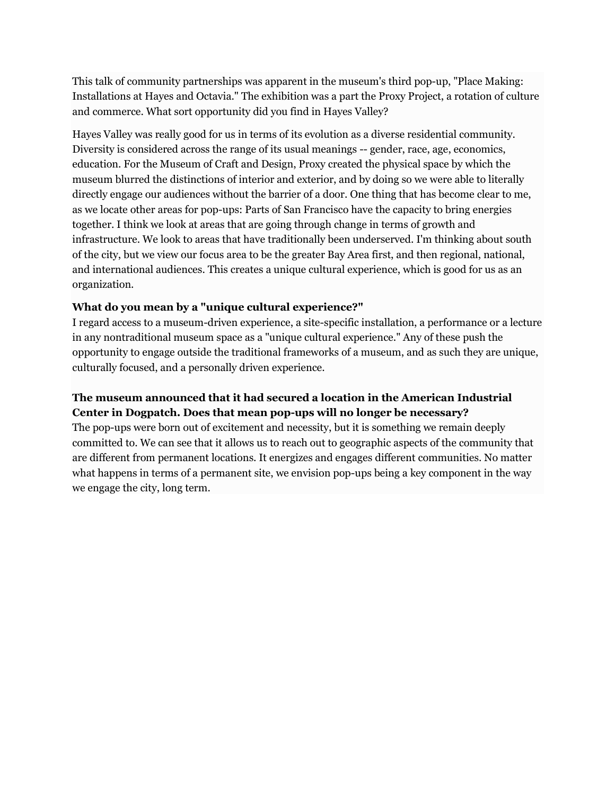This talk of community partnerships was apparent in the museum's third pop-up, "Place Making: Installations at Hayes and Octavia." The exhibition was a part the Proxy Project, a rotation of culture and commerce. What sort opportunity did you find in Hayes Valley?

Hayes Valley was really good for us in terms of its evolution as a diverse residential community. Diversity is considered across the range of its usual meanings -- gender, race, age, economics, education. For the Museum of Craft and Design, Proxy created the physical space by which the museum blurred the distinctions of interior and exterior, and by doing so we were able to literally directly engage our audiences without the barrier of a door. One thing that has become clear to me, as we locate other areas for pop-ups: Parts of San Francisco have the capacity to bring energies together. I think we look at areas that are going through change in terms of growth and infrastructure. We look to areas that have traditionally been underserved. I'm thinking about south of the city, but we view our focus area to be the greater Bay Area first, and then regional, national, and international audiences. This creates a unique cultural experience, which is good for us as an organization.

#### **What do you mean by a "unique cultural experience?"**

I regard access to a museum-driven experience, a site-specific installation, a performance or a lecture in any nontraditional museum space as a "unique cultural experience." Any of these push the opportunity to engage outside the traditional frameworks of a museum, and as such they are unique, culturally focused, and a personally driven experience.

## **The museum announced that it had secured a location in the American Industrial Center in Dogpatch. Does that mean pop-ups will no longer be necessary?**

The pop-ups were born out of excitement and necessity, but it is something we remain deeply committed to. We can see that it allows us to reach out to geographic aspects of the community that are different from permanent locations. It energizes and engages different communities. No matter what happens in terms of a permanent site, we envision pop-ups being a key component in the way we engage the city, long term.